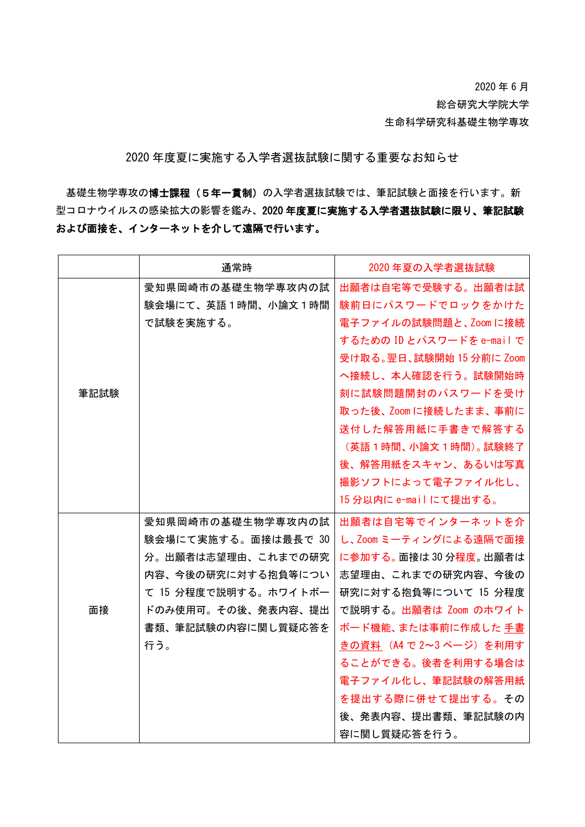2020 年 6 月

総合研究大学院大学

生命科学研究科基礎生物学専攻

2020 年度夏に実施する入学者選抜試験に関する重要なお知らせ

基礎生物学専攻の博士課程(5年一貫制)の入学者選抜試験では、筆記試験と面接を行います。新 型コロナウイルスの感染拡大の影響を鑑み、2020 年度夏に実施する入学者選抜試験に限り、筆記試験 および面接を、インターネットを介して遠隔で行います。

|      | 通常時                  | 2020年夏の入学者選抜試験            |
|------|----------------------|---------------------------|
|      | 愛知県岡崎市の基礎生物学専攻内の試    | 出願者は自宅等で受験する。出願者は試        |
|      | 験会場にて、英語1時間、小論文1時間   | 験前日にパスワードでロックをかけた         |
|      | で試験を実施する。            | 電子ファイルの試験問題と、Zoom に接続     |
|      |                      | するための ID とパスワードを e-mail で |
|      |                      | 受け取る。翌日、試験開始 15 分前に Zoom  |
|      |                      | へ接続し、本人確認を行う。試験開始時        |
| 筆記試験 |                      | 刻に試験問題開封のパスワードを受け         |
|      |                      | 取った後、Zoom に接続したまま、事前に     |
|      |                      | 送付した解答用紙に手書きで解答する         |
|      |                      | (英語 1 時間、小論文 1 時間)。 試験終了  |
|      |                      | 後、解答用紙をスキャン、あるいは写真        |
|      |                      | 撮影ソフトによって電子ファイル化し、        |
|      |                      | 15 分以内に e-mail にて提出する。    |
|      | 愛知県岡崎市の基礎生物学専攻内の試    | 出願者は自宅等でインターネットを介         |
| 面接   | 験会場にて実施する。面接は最長で 30  | し、Zoom ミーティングによる遠隔で面接     |
|      | 分。出願者は志望理由、これまでの研究   | に参加する。面接は30分程度。出願者は       |
|      | 内容、今後の研究に対する抱負等につい   | 志望理由、これまでの研究内容、今後の        |
|      | て 15 分程度で説明する。ホワイトボー | 研究に対する抱負等について 15 分程度      |
|      | ドのみ使用可。その後、発表内容、提出   | で説明する。出願者は Zoom のホワイト     |
|      | 書類、筆記試験の内容に関し質疑応答を   | ボード機能、または事前に作成した 手書       |
|      | 行う。                  | きの資料 (A4 で 2~3 ページ) を利用す  |
|      |                      | ることができる。後者を利用する場合は        |
|      |                      | 電子ファイル化し、筆記試験の解答用紙        |
|      |                      | を提出する際に併せて提出する。その         |
|      |                      | 後、発表内容、提出書類、筆記試験の内        |
|      |                      | 容に関し質疑応答を行う。              |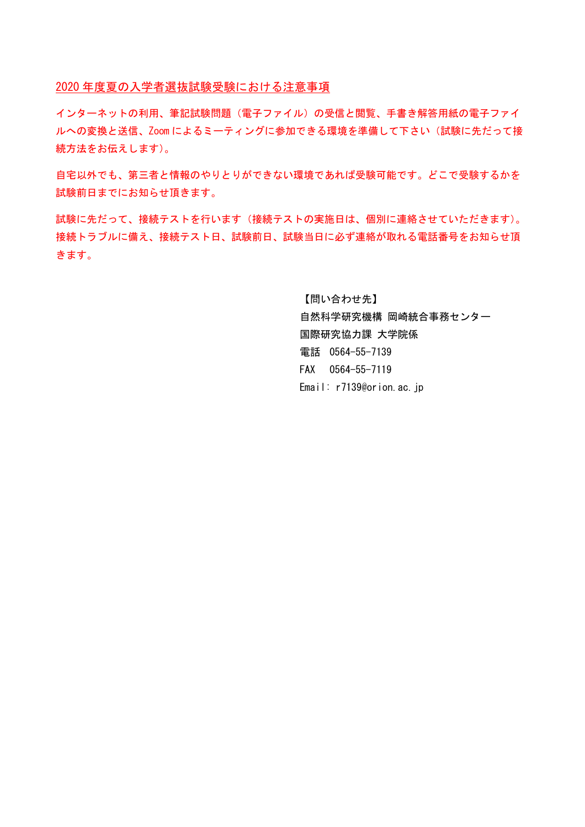2020 年度夏の入学者選抜試験受験における注意事項

インターネットの利用、筆記試験問題(電子ファイル)の受信と閲覧、手書き解答用紙の電子ファイ ルへの変換と送信、Zoom によるミーティングに参加できる環境を準備して下さい(試験に先だって接 続方法をお伝えします)。

自宅以外でも、第三者と情報のやりとりができない環境であれば受験可能です。どこで受験するかを 試験前日までにお知らせ頂きます。

試験に先だって、接続テストを行います(接続テストの実施日は、個別に連絡させていただきます)。 接続トラブルに備え、接続テスト日、試験前日、試験当日に必ず連絡が取れる電話番号をお知らせ頂 きます。

> 【問い合わせ先】 自然科学研究機構 岡崎統合事務センター 国際研究協力課 大学院係 電話 0564-55-7139 FAX 0564-55-7119 Email: r7139@orion.ac.jp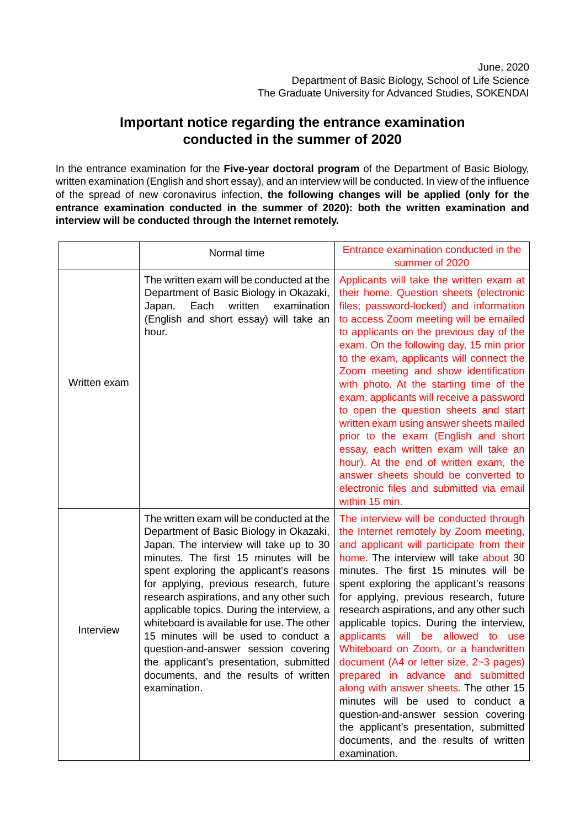## **Important notice regarding the entrance examination conducted in the summer of 2020**

In the entrance examination for the **Five-year doctoral program** of the Department of Basic Biology, written examination (English and short essay), and an interview will be conducted. In view of the influence of the spread of new coronavirus infection, **the following changes will be applied (only for the entrance examination conducted in the summer of 2020): both the written examination and interview will be conducted through the Internet remotely.**

|              | Normal time                                                                                                                                                                                                                                                                                                                                                                                                                                                                                                                                                                                | Entrance examination conducted in the<br>summer of 2020                                                                                                                                                                                                                                                                                                                                                                                                                                                                                                                                                                                                                                                                                                                                 |
|--------------|--------------------------------------------------------------------------------------------------------------------------------------------------------------------------------------------------------------------------------------------------------------------------------------------------------------------------------------------------------------------------------------------------------------------------------------------------------------------------------------------------------------------------------------------------------------------------------------------|-----------------------------------------------------------------------------------------------------------------------------------------------------------------------------------------------------------------------------------------------------------------------------------------------------------------------------------------------------------------------------------------------------------------------------------------------------------------------------------------------------------------------------------------------------------------------------------------------------------------------------------------------------------------------------------------------------------------------------------------------------------------------------------------|
| Written exam | The written exam will be conducted at the<br>Department of Basic Biology in Okazaki,<br>Each<br>written<br>examination<br>Japan.<br>(English and short essay) will take an<br>hour.                                                                                                                                                                                                                                                                                                                                                                                                        | Applicants will take the written exam at<br>their home. Question sheets (electronic<br>files; password-locked) and information<br>to access Zoom meeting will be emailed<br>to applicants on the previous day of the<br>exam. On the following day, 15 min prior<br>to the exam, applicants will connect the<br>Zoom meeting and show identification<br>with photo. At the starting time of the<br>exam, applicants will receive a password<br>to open the question sheets and start<br>written exam using answer sheets mailed<br>prior to the exam (English and short<br>essay, each written exam will take an<br>hour). At the end of written exam, the<br>answer sheets should be converted to<br>electronic files and submitted via email<br>within 15 min.                        |
| Interview    | The written exam will be conducted at the<br>Department of Basic Biology in Okazaki,<br>Japan. The interview will take up to 30<br>minutes. The first 15 minutes will be<br>spent exploring the applicant's reasons<br>for applying, previous research, future<br>research aspirations, and any other such<br>applicable topics. During the interview, a<br>whiteboard is available for use. The other<br>15 minutes will be used to conduct a<br>question-and-answer session covering<br>the applicant's presentation, submitted<br>documents, and the results of written<br>examination. | The interview will be conducted through<br>the Internet remotely by Zoom meeting,<br>and applicant will participate from their<br>home. The interview will take about 30<br>minutes. The first 15 minutes will be<br>spent exploring the applicant's reasons<br>for applying, previous research, future<br>research aspirations, and any other such<br>applicable topics. During the interview,<br>applicants will be allowed to use<br>Whiteboard on Zoom, or a handwritten<br>document (A4 or letter size, 2~3 pages)<br>prepared in advance and submitted<br>along with answer sheets. The other 15<br>minutes will be used to conduct a<br>question-and-answer session covering<br>the applicant's presentation, submitted<br>documents, and the results of written<br>examination. |